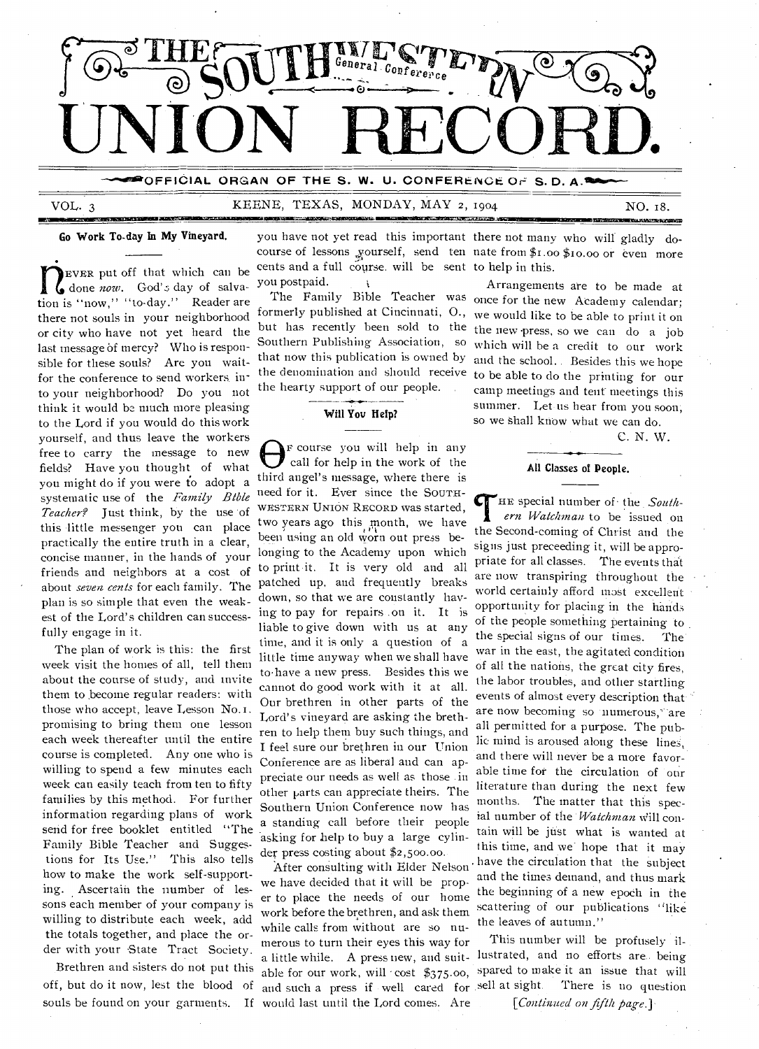

**-OFFICIAL ORGAN OF THE S. W. U. CONFERENCE. Or= S. D. A\_** 

# VOL. 3 KEENE, TEXAS, MONDAY, MAY 2, 1904

MIIMISSENZ.11411.000 millionii ilmailunetta kansan kansan kansan kansan kansan kansan kansan kansan kansan kansan ka

NO. 18.

**950:111712MBEtNARINI-PJSZINDOD** 

# Go Work To-day In My Vineyard.

The very put off that which can be<br>done *now*. God's day of salvation is "now," "to-day." Reader are EVER put off that which can be done *now.* God's day of salvathere not souls in your neighborhood or city who have not yet heard the last message of mercy? Who is responsible for these souls? Are you waitfor the conference to send workers. into your neighborhood? Do you not think it would be much more pleasing to the Lord if you would do this work yourself, and thus leave the workers free to carry the message to new fields? Have you thought of what you might do if you were to adopt a systematic use of the *Family Bible Teacher?* Just think, by the use of this little messenger you can place practically the entire truth in a clear, concise manner, in the hands of your friends and neighbors at a cost of about *seven cents* for each family. The patched up, and frequently breaks plan is so simple that even the weakest of the Lord's children can successfully engage in it.

The plan of work is this: the first week visit the homes of all, tell them about the course of study, and invite them to become regular readers: with those who accept, leave Lesson No.i . promising to bring them one lesson each week thereafter until the entire course is completed. Any one who is willing to spend a few minutes each week can easily teach from ten to fifty families by this method. For further information regarding plans of work send for free booklet entitled "The Family Bible Teacher and Suggestions for Its Use." This also tells how to make the work self-supporting. Ascertain the number of lessons each member of your company is willing to distribute each week, add the totals together, and place the order with your State Tract Society.

Brethren and sisters do not put this off, but do it now, lest the blood of souls be found on your garments.

you have not yet read this important there not many who will gladly docourse of lessons yourself, send ten nate from \$1.00 \$10.00 or even more cents and a full course. will be sent to help in this. you postpaid.

formerly published at Cincinnati, 0., but has recently been sold to the Southern Publishing Association, so that now this publication is owned by the denomination and should receive the hearty support of our people.

# Will You Hefp?

F course you will help in any call for help in the work of the third angel's message, where there is need for it. Ever since the SOUTH-WESTERN UNION RECORD was started, two years ago this month, we have been using an old worn out press belonging to the Academy upon which to print it. It is very old and all down, so that we are constantly having to pay for repairs .on it. It is liable to give down with us at any time, and it is only a question of a little time anyway when we shall have to-have a new press. Besides this we cannot do good work with it at all. Our brethren in other parts of the Lord's vineyard are asking the brethren to help them buy such things, and I feel sure our brethren in our Union Conference are as liberal and can appreciate our needs as well as those .in other parts can appreciate theirs. The Southern Union Conference now has a standing call before their people asking for help to buy a large cylinder press costing about \$2,500.00.

After consulting with Elder Nelson we have decided that it will be proper to place the needs of our home work before the brethren, and ask them while calls from without are so numerous to turn their eyes this way for able for our work, will 'cost \$375.00, and such a press if well cared for sell at sight. would last until the Lord comes. Are

The Family Bible Teacher was once for the new Academy calendar; Arrangements are to be made at we would like to be able to print it on the new press, so we can do a job which will be a credit to our work and the school.. Besides this we hope to be able to do the printing for our

camp meetings and tent meetings this

summer. Let-us hear from you soon; so we Shall know what we can do.

C. N. W.

### **All** Classes of People.

HE special number of the *Southern Watchman* to be issued on the Second-coming of Christ and the signs just preceeding it, will be appropriate for all classes. The events that are now transpiring throughout the world certainly afford most excellent • opportunity for placing in the hands of the people something pertaining to<br>the special signs of our times. The the special signs of our times. The war in the east, the agitated condition of all the nations, the great city fires, the labor troubles, and other startling events of almost every description that are now becoming so numerous, are all permitted for a purpose. The public mind is aroused along these lines. and there will never be a more favorable time for the circulation of our literature than during the next few months. The matter that this special number of the *'Watchman* will contain will be just what is wanted at this time, and we hope that it may . have the circulation that the subject and the times demand, and thus mark the beginning of a new epoch in the scattering of our publications "like the leaves of autumn."

a little while. A pressuew, and suit-lustrated, and no efforts are being This number will be profusely ilspared to make it an issue that will There is no question *[Continued 071 fifth page.].*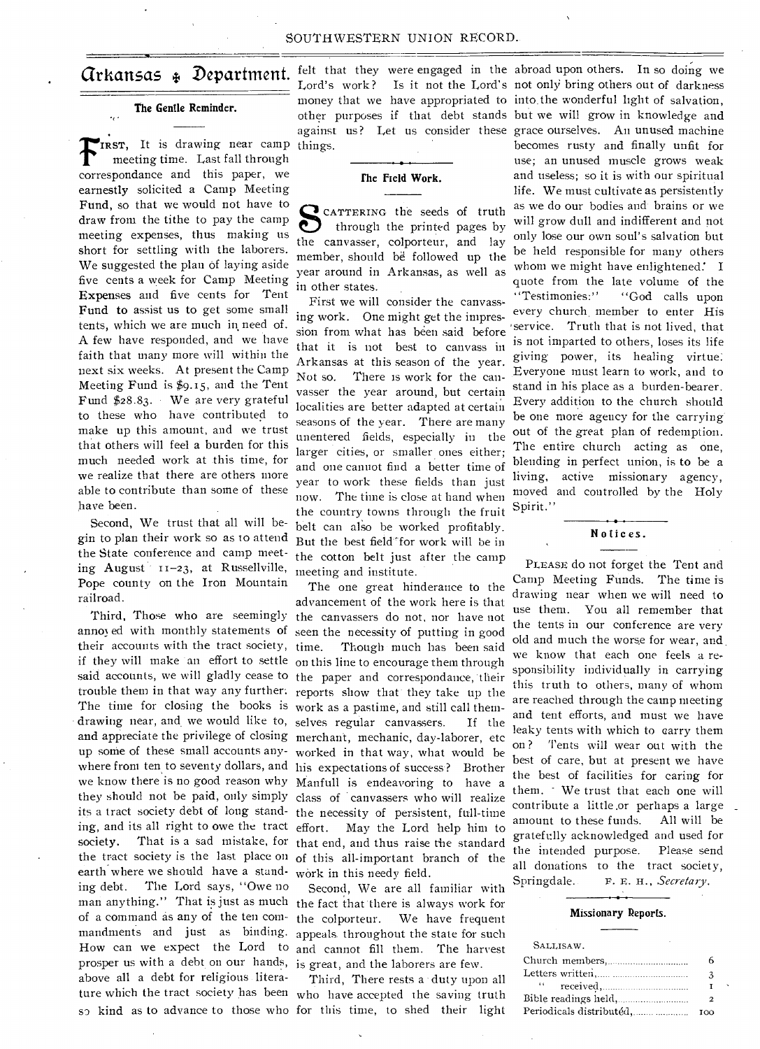# **The Gentle Reminder.**

IRST, It is drawing near camp things. meeting time. Last fall through correspondance and this paper, we earnestly solicited a Camp Meeting Fund, **so** that we would not have to draw from the tithe to pay the camp meeting expenses, thus making us short for settling with the laborers. We suggested the plan of laying aside five cents a week for Camp Meeting **Expenses** and five cents for Tent Fund **to** assist us to get some small tents, which we are much **in,** need of. A few have responded, and we have faith that many more will within the next six weeks. At present the Camp Meeting Fund is \$9.15, and the Tent Fund \$28.83. We are very grateful to these who have contributed to make up this amount, and we trust that others will feel a burden for this much needed work at this time, for we realize that there are others more able to contribute than some of these have been.

Second, We trust that all will begin to plan their work so as to attend the State conference and camp meeting August 11-23, at Russellville, Pope county on the Iron Mountain railroad.

annoyed with monthly statements of seen the necessity of putting in good their accounts with the tract society, time. if they will make an effort to settle on this line to encourage them through said accounts, we will gladly cease to the paper and correspondance, their The time for closing the books is work as a pastime, and still call themand appreciate the privilege of closing merchant, mechanic, day-laborer, etc ing, and its all right to owe the tract effort. earth where we should have a stand-work in this needy field. ing debt. The Lord says, "Owe no man anything." That is just as much the fact that there is always work for of a command as any of the ten commandments and just as binding. appeals throughout the state for such How can we expect the Lord to and cannot fill them. The harvest prosper us with a debt on our hands, is great, and the laborers are few. above all a debt for religious literature which the tract society has been who have accepted the saving truth

Arkansas **Department.**  felt that they were engaged in the Lord's work? Is it not the Lord's money that we have appropriated to into the wonderful light of salvation, against us? Let us consider these grace ourselves. An unused machine

# **the Field Work.**

CATTERING the seeds of truth through the printed pages by the canvasser, colporteur, and lay member, should be followed up the year around in Arkansas, as well as in other states.

First we will consider the canvassing work. One might get the impression from what has been said before that it is not best to canvass in Arkansas at this season of the year. Not so. There is work for the canvasser the year around, but certain localities are better adapted at certain seasons of the year. There are many unentered fields, especially in the larger cities, or smaller ones either; and one cannot find a better time of year to work these fields than just now. The time is close at hand when the country towns through the fruit belt can also be worked profitably. But the best field for work will be in the cotton belt just after the camp meeting and institute.

Third, Those who are seemingly the canvassers do not, nor have not trouble them in that way any further: reports show that they take up the drawing near, and we would like to, selves regular canvassers. If the up some of these small accounts any-worked in that way, what would be where from ten to seventy dollars, and his expectations of success? Brother we know there is no good reason why Manfull is endeavoring to have a they should not be paid, only simply class of canvassers who will realize its a tract society debt of long stand-the necessity of persistent, full-time society. That is a sad mistake, for that end, and thus raise the standard the tract society is the last place on of this all-important branch of the The one great hinderance to the advancement of the work here is that Though much has been said May the Lord help him to

> Second, We are all familiar with We have frequent

sp kind as to advance to those who for this time, to shed their light Third, There rests a duty upon all

other purposes if that debt stands but we will grow in knowledge and abroad upon others. In so doing we Is it not the Lord's not only bring others out of darkness becomes rusty and finally unfit for use; an unused muscle grows weak and useless; so it is with our spiritual life. We must cultivate as persistently as we do our bodies and brains or we will grow dull and indifferent and not only lose our own soul's salvation but be held responsible for many others whom we might have enlightened. I quote from the late volume of the "Testimonies:" "God calls upon every church, member to enter His service. Truth that is not lived, that is not imparted to others, loses its life giving power, its healing virtue: Everyone must learn to work, and to stand in his place as a burden-bearer. Every addition to the church should be one more agency for the carrying out of the great plan of redemption. The entire church acting as one, blending in perfect union, is to be a living, active missionary agency, moved and controlled by the Holy Spirit."

# **Notices.**

PLEASE do not forget the Tent and Camp Meeting Funds. The time is drawing near when we will need to use them. You all remember that the tents in our conference are very old and much the worse for wear, and, we know that each one feels a responsibility individually in carrying this truth to others, many of whom are reached through the camp meeting and tent efforts, and must we have leaky tents with which to carry them on ? Tents will wear out with the best of care, but at present we have the best of facilities for caring for them. - We trust that each one will contribute a little.or perhaps a large amount to these funds. All will be gratefully acknowledged and used for the intended purpose. Please send all donations to the tract society, Springdale. F. E. H., *Secretary*.

### **Missionary Reports.**

| 3                        |
|--------------------------|
|                          |
| 2                        |
| ഥറ                       |
| Periodicals distributéd, |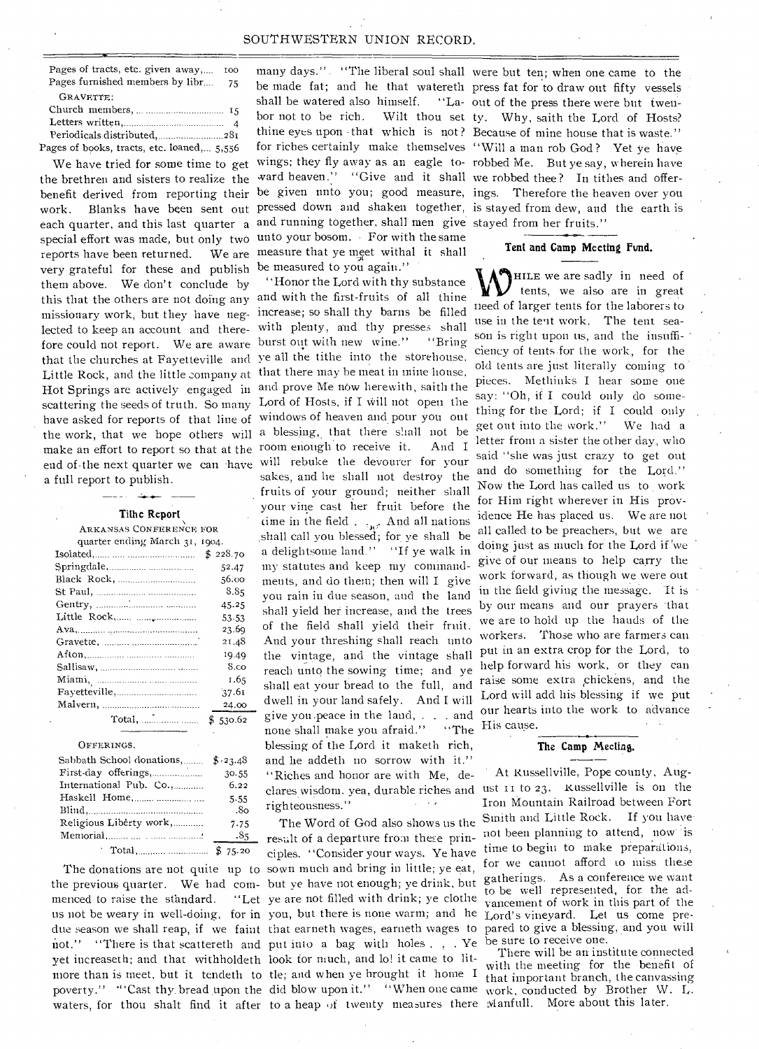# SOUTHWESTERN UNION RECORD.

Pages of tracts, etc. given away,.... too Pages furnished members by libr.... 75 GRAVETTE: Church members, 15 Letters written, 4

Periodicals distributed, ..............................281 Pages of books, tracts, etc. loaned,... 5,556

the brethren and sisters to realize the ward heaven." "Give and it shall we robbed thee? In tithes and offerbenefit derived from reporting their be given unto you; good measure, ings. Therefore the heaven over you work. Blanks have been sent out pressed down and shaken together, is stayed from dew, and the earth is each quarter, and this last quarter a and running together, shall men give stayed from her fruits." special effort was made, but only two unto your bosom. For with the same very grateful for these and publish be measured to you again." this that the others are not doing any and with the first-fruits of all thine missionary work, but they have neg- increase; so shall thy barns be filled lected to keep an account and there- with plenty, and thy presses shall fore could not report. We are aware burst out with new wine." "Bring that the churches at Fayetteville and ye all the tithe into the storehouse, Little Rock, and the little company at that there may be meat in mine house, Hot Springs are actively engaged in and prove Me now herewith, saith the scattering the seeds of truth. So many Lord of Hosts, if I will not open the reports have been returned. them above. We don't conclude by a full report to publish.

**Tithe Report** 

| <b>ARKANSAS CONFERENCE FOR</b>     |          |
|------------------------------------|----------|
| quarter ending March 31, 1904.     |          |
|                                    | \$228.70 |
|                                    | 52.47    |
|                                    | 56.00    |
|                                    | 8.85     |
|                                    | 45.25    |
|                                    | 53.53    |
|                                    | 23.69    |
|                                    | 21.48    |
|                                    | 19.49    |
|                                    | S.co     |
|                                    | 1.65     |
|                                    | 37.61    |
|                                    | 24.00    |
|                                    | \$530.62 |
| OFFERINGS.                         |          |
| Sabbath School donations, \$123.48 |          |
|                                    | 30.55    |
| International Pub. Co.,            | 6.22     |
| Haskell Home,                      | 5.55     |
|                                    | .80      |
| Religious Liberty work,            | 7.75     |
|                                    | .85      |
| Total, 2008 \$75.20                |          |

shall be watered also himself. bor not to be rich. measure that ye meet withal **it** shall

"Honor the Lord with thy substance have asked for reports of that line of windows of heaven and pour you out the work, that we hope others will a blessing, that there shall not be make an effort to report so that at the room enough to receive it. And I end of the next quarter we can have will rebuke the devourer for your sakes, and he shall not destroy the fruits of your ground; neither shall your vine cast her fruit before the time in the field .  $\cdot$   $\cdot$ <sub>N</sub>. And all nations ,shall call you blessed; for ye shall be a delightsome land." "If ye walk in my statutes and keep my commandments, and do them; then will I give you rain in due season, and the land shall yield het increase, and the trees of the field shall yield their fruit. And your threshing shall reach unto the vintage, and the vintage shall reach unto the sowing time; and ye shall eat your bread to the full, and dwell in your land safely. And I will give you.peace in the land, . . and none shall make you afraid." "The blessing of the Lord it maketh rich, and he addeth no sorrow with it." "Riches and honor are with Me, declares wisdom. yea, durable riches and ust II to 23. Russellville is on the righteousness."

The Word of God also shows us the result of a departure from there principles. "Consider your ways. Ye have The donations are not quite up to sown much and bring in little; ye eat, the previous quarter. We had com- but ye have not enough; ye drink, but menced to raise the standard. "Let ye are not filled with drink; ye clothe us not be weary in well-doing, for in you, but there is none warm; and he due season we shall reap, if we faint that earneth wages, earneth wages to not." "There is that scattereth and put into a bag with holes . . . Ye yet increaseth; and that withholdeth look for much, and lo! it came to litmore than is meet, but it tendeth to tle; and when ye brought it home I poverty." "Cast thy bread upon the did blow upon it." "When one came work, conducted by Brother W. L. waters, for thou shalt find it after to a heap of twenty measures there Manfull. More about this later.

many days." "The liberal soul shall were but ten; when one came to the be made fat; and he that watereth press fat for to draw out fifty vessels thine eyes upon -that which is not? Because of mine house that is waste." for riches certainly make themselves "Will a man rob God ? Yet ye have We have tried for some time to get wings; they fly away as an eagle to- robbed Me. But ye say, wherein have "La- out of the press there were but twen-Wilt thou set ty. Why, saith the Lord of Hosts?

## **Tent and Camp Meeting Fund.**

HILE we are sadly in need of tents, we also are in great need of larger tents for the laborers to use in the tent work. The tent season is right upon us, and the insufficiency of tents for the work, for the old tents are just literally coming to pieces. Methinks **I** hear some one say: "Oh, if **I** could only do something for the Lord; if I could only get out into the work." We had a letter from a sister the other day, who said "she was just crazy to get out and do something for the Lord." Now the Lord has called us to work for Him right wherever in His providence He has placed us. We are not all called to be preachers, but we are doing just as much for the Lord if 'we give of our means to help carry the work forward, as though we were out in the field giving the message. 'It is by our means and our prayers that we are to hold up the hands of the workers. Those who are farmers can put in an extra crop for the Lord, to help forward his work, or they can raise some extra chickens, and the Lord will add his blessing if we put our hearts into the work. to advance His cause.

## **The Camp** Meeting.

• At Russellville, Pope county, Aug-Iron Mountain Railroad between Fort Smith and Little Rock. If you have. not been planning to attend, now is time to begin to make preparations, for we cannot afford to miss these gatherings. As a conference we want to be well represented, for the advancement of work in this part of the Lord's vineyard. Let us come prepared to give a blessing, and you will be sure to receive one.

There will be an institute connected with the meeting for the benefit of that important branch, the canvassing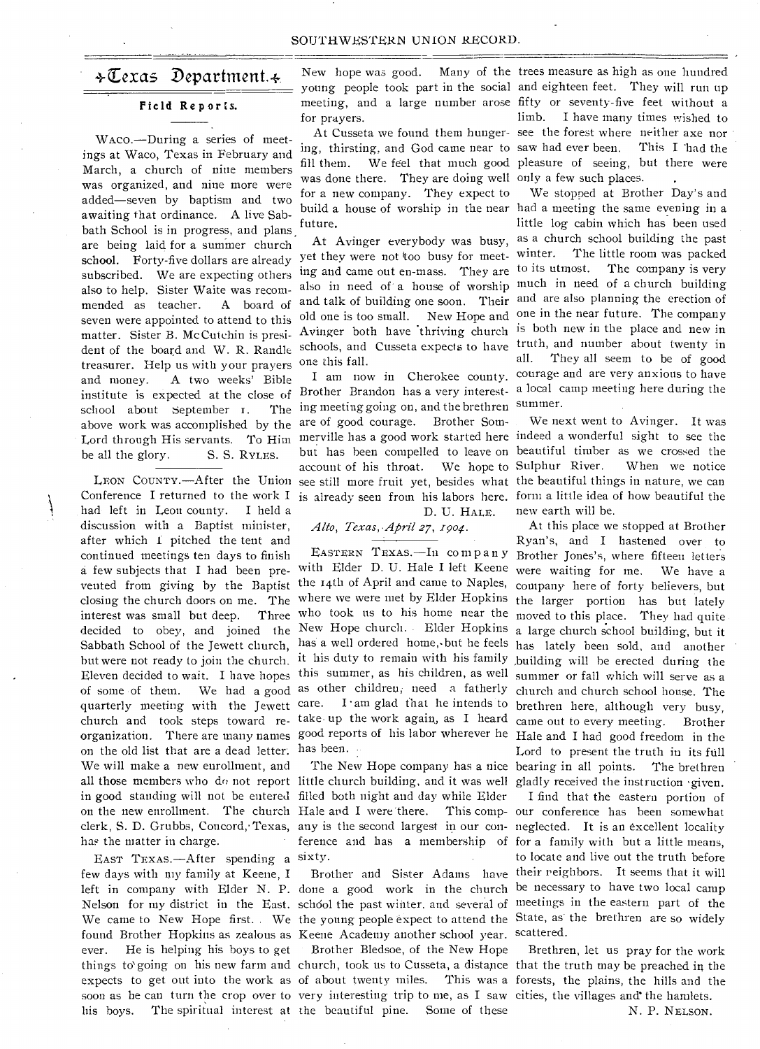# $\ast \mathbb{C}$ exas Department. $\ast$

# **Field Reports.**

WAco.—During a series of meetings at Waco, Texas in February and March, a church of nine members was organized, and nine more were added—seven by baptism and two awaiting that ordinance. A live Sabbath School is in progress, and plans are being laid for a summer church school. Forty-five dollars are already subscribed. We are expecting others also to help. Sister Waite was recommended as teacher. A board of seven were appointed to attend to this old one is too small. New Hope and matter. Sister B. Mc Cutehin is presi-Avinger both have thriving church is both new in the place and new in matter. Sister B. McCurcinii is presi-<br>dent of the board and W. R. Randle schools, and Cusseta expects to have truth, and number about twenty in treasurer. Help us with your prayers and money. A two weeks' Bible institute is expected at the close of Brother Brandon has a very interest- a local camp meeting here during the school about September 1. above work was accomplished by the are of good courage. Brother Som-Lord through His servants. To Him merville has a good work started here indeed a wonderful sight to see the be all the glory. S. S. RYLES.

had left in Leon county. I held a discussion with a Baptist minister, after which I pitched the tent and continued meetings ten days to finish a few subjects that **I** had been pre-with Elder D. U. Hale **I** left Keene vented from giving by the Baptist the 14th of April and came to Naples, company here of forty believers, but closing the church doors on me. The where we were met by Elder Hopkins the larger portion has but lately interest was small but deep. Three who took us to his home near the moved to this place. They had quite decided to obey, and joined the New Hope church. Elder Hopkins Sabbath School of the Jewett church, has a well ordered home, but he feels but were not ready to join the church. it his duty to remain with his family Eleven decided to wait. I have hopes this summer, as his children, as well of some of them. We had a good as other children; need a fatherly quarterly meeting with the Jewett care. I am glad that he intends to church and took steps toward re-take up the work again, as I heard organization. There are many names good reports of his labor wherever he Hale and I had good freedom in the on the old list that are a dead letter. has been. We **will** make a new enrollment, and has the matter in charge.

EAST TEXAS.—After spending a sixty. few days with my family at Keene, I ever. He is helping his boys to get

New hope was good. meeting, and a large number arose fifty or seventy-five feet without a for prayers.

was done there. They are doing well only a few such places. for a new company. They expect to future.

yet they were not too busy for meet- winter. ing and came out en-mass. They are to its utmost. and talk of building one soon. Their and are also planning the erection of one this fall.

LEON COUNTY.—After the Union see still more fruit yet, besides what the beautiful things in nature, we can The ing meeting going on, and the brethren but has been compelled to leave on beautiful timber as we crossed the account of his throat. We hope to Sulphur River.

D. U. HALE.

# *\_411o, Texas,•Afiril 27, 1901.*

all those members who do not report little church building, and it was well gladly received the instruction given. in good standing will not be entered filled both night and day while Elder on the new enrollment. The church Hale and I were 'there. This comp-our conference has been somewhat clerk, S. D. Grubbs, Concord, Texas, any is the second largest in our con- neglected. It is an excellent locality ference and has a membership of for a family with but a little means,

left in company with Elder N. P. done a good work in the church be necessary to have two local camp Nelson for my district in the East. schdol the past winter, and several of meetings in the eastern part of the We came to New Hope first. We the young people expect to attend the State, as the brethren are so widely found Brother Hopkins as zealous as Keene Academy another school year. scattered. Brother Bledsoe, of the New Hope

soon as he can turn the crop over to very interesting trip to me, as **I** saw cities, the villages and' the hamlets. his boys. The spiritual interest at the beautiful pine. Some of these

young people took part in the social and eighteen feet. They will run up At Cusseta we found them hunger-see the forest where neither axe nor ing, thirsting, and God came near to saw had ever been. This **I** 'had the fill them. We feel that much good pleasure of seeing, but there were Many of the trees measure as high as one hundred limb. I have many times wished to

build a house of worship in the near had a meeting the same evening in a At Avinger everybody was busy, as a church school building the past also in need of a house of worship much in need of a church building I am now in Cherokee county. courage and are very anxious to have We stopped at Brother Day's and little log cabin which has been used The little room was packed The company is very one in the near future. The company all. They all seem to be of good summer.

Conference I returned to the work I is already seen from his labors here. form a little idea of how beautiful the We next went to Avinger. It was When we notice new earth will be.

> EASTERN TEXAS.—In CO mpany Brother Jones's, where fifteen letters The New Hope company has a nice bearing in all points. The brethren At this place we stopped at Brother Ryan's, and I hastened over to were waiting for me. We have a a large church school building, but it has lately been sold, and another ,building will be erected during the summer or fall which will serve as a church and church school house. The brethren here, although very busy, came out to every meeting. Brother Lord to present the truth in its full

> Brother and Sister Adams have their reighbors. It seems that it will **I** find that the eastern portion of to locate and live out the truth before

things to` going on his new farm and church, took us to Cusseta, a distance that the truth may be preached in the expects to get out into the work as of about twenty miles. This was a forests, the plains, the hills and the Brethren, let us pray for the work

N. P. NELSON.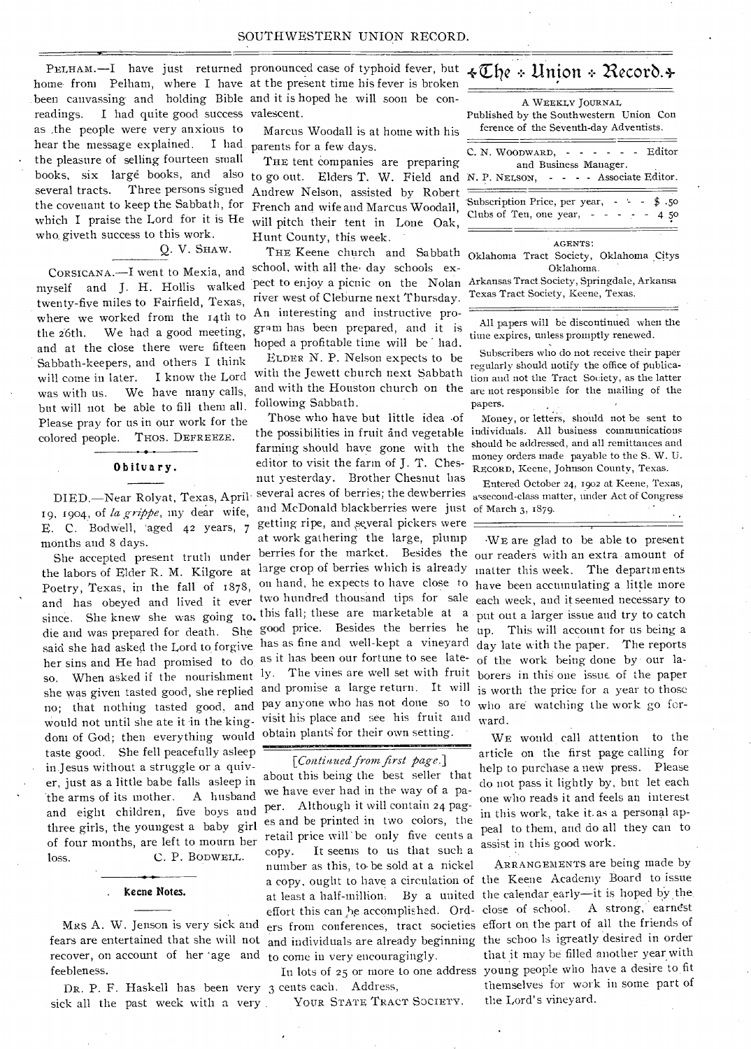PELHAM.-I have just returned pronounced case of typhoid fever, but readings. I had quite good success valescent. as the people were very anxious to hear the message explained. the pleasure of selling fourteen small books, six larg6 books, and also several tracts. Three persons signed the covenant to keep the Sabbath, for which I praise the Lord for it is He who. giveth success to this work.

Q. V. SHAW.

CORSICANA.—I went to Mexia, and myself and J. H. Hollis walked twenty-five miles to Fairfield, Texas, where we worked from the 14th to the 26th. We had a good meeting, and at the close there were fifteen Sabbath-keepers, and others I think will come in later. I know the Lord was with us. We have many calls, but will not be able to fill them all. Please pray for us in our work for the colored people. THOS. DEFREEZE.

## Obituary.

19, 1904, of *la grippe,* my dear wife, E. C. Bodwell, 'aged 42 years, 7 months and 8 days.

she was given tasted good, she replied no; that nothing tasted good, and would not until she ate it in the kingdom of God; then everything would taste good. She fell peacefully asleep in. Jesus without a struggle or a quiver, just as a little babe falls asleep in 'the arms of its mother. A husband and eight children, five boys and three girls, the youngest a baby girl of four months, are left to mourn her loss. C. P. BODWELL. the labors of Elder R. M. Kilgore at large crop of berries which is already matter this week. The departments he habors of their fit fit. In the subset of the expects to have close to have been accumulating a little more roctry, reads, in the ran or roys, since. She knew she was going to, this fall; these are marketable at a put out a larger issue and try to catch die and was prepared for death. She good price. Besides the berries he up. This will account for us being a said she had asked the Lord to forgive has as fine and well-kept a vineyard day late with the paper. The reports her sins and He had promised to do as it has been our fortune to see late- of the work being done by our laso. When asked if the nourishment ly. The vines are well set with fruit borers in this one issue of the paper She accepted present truth under

### Keene Notes.

Mizs A. W. Jenson is very sick and recover, on account of her age and to come in very encouragingly. feebleness.

DR. P. F. Haskell has been very 3 cents each. Address, sick all the past week with a very.

home from Pelham, where I have at the present time his fever is broken been canvassing and holding Bible and it is hoped he will soon be con-

> Marcus Woodall is at home with his I had parents for a few days.

> > THE tent companies are preparing Andrew Nelson, assisted by Robert French and wife and Marcus Woodall, will pitch their tent in Lone Oak, Hunt County, this week.

THE Keene church and Sabbath school, with all the day schools expect to enjoy a picnic on the Nolan Arkansas Tract Society, Springdale, Arkansa river west of Cleburne next Thursday. An interesting and instructive program has been prepared, and it is hoped a profitable time will be had.

ELDER N. P. Nelson expects to be with the Jewett church next Sabbath and with the Houston church on the following Sabbath.

Those who have but little idea of farming should have gone with the editor to visit the farm of J. T. Chesnut yesterday. Brother Chesnut has DIED.—Near Rolyat, Texas, April. several acres of berries; the dewberries assecond-class matter, under Act of Congress and McDonald blackberries were just of March 3, 1879. getting ripe, and several pickers were at work gathering the large, plump berries for the market. Besides the our readers with an extra amount of and promise a large return. It will is worth the price for a year to those pay anyone who has not done so to who are watching the work go forvisit his place and see his fruit and ward. obtain plants for their own setting.

# *[Contlaued from first page.]*  about this being the best seller that we have ever had in the way of a paper. Although it will contain 24 pages and be printed in two colors, the retail price will' be only five cents a copy. It seems to us that such a number as this, to• be sold at a nickel

YOUR STATE TRACT SOCIETY.

# +Elie Union -:- *Necorb.4-*

to go out. Elders T. W. Field and N. P. NELSON, - - - - Associate Editor. A WEEKLY JOURNAL Published by the Southwestern Union Con ference of the Seventh-day Adventists.  $C. N. Woobwan, - - - - - -$  Editor and Business Manager. Subscription Price, per year,  $- \frac{1}{2}$ .50<br>Clubs of Ten, one year,  $- - -$  4.50 Clubs of Ten, one year,  $- -$ 

### AGENTS:

Oklahoma Tract Society, Oklahoma Citys Oklahoma.

Texas Tract Society, Keene, Texas.

All papers will be discontinued when the time expires, unless promptly renewed.

Subscribers who do not receive their paper regularly should notify the office of publica- • tion and not the Tract Society, as the latter are not responsible for the mailing of the papers.

the possibilities in fruit and vegetable individuals. All business communications Money, or letters, should not be sent to should he addressed, and all remittances and money orders made payable to the S. W. U. RECORD, Keene, Johnson County, Texas.

Entered October 24, 1902 at Keene, Texas,

•WE are glad to be able to present

WE would call attention to the article on the first page calling for help to purchase a new press. Please do not pass it lightly by, but let each one who reads it and feels an interest in this work, take it. as a personal appeal to them, and do all they can to assist in this good work.

ARRANGEMENTS are being made by a copy, ought to have a circulation of the Keene Academy Board to issue at least a half-million. By a united the calendar early—it is hoped by the effort this can be accomplished. Ord- close of school. A strong, earnest ers from conferences, tract societies effort on the part of all the friends of fears are entertained that she will not and individuals are already beginning the schoo ls igreatly desired in order that it may be filled another year with In lots of 25 or more to one address young people who have a desire to fit themselves for work in some part of the Lord's vineyard.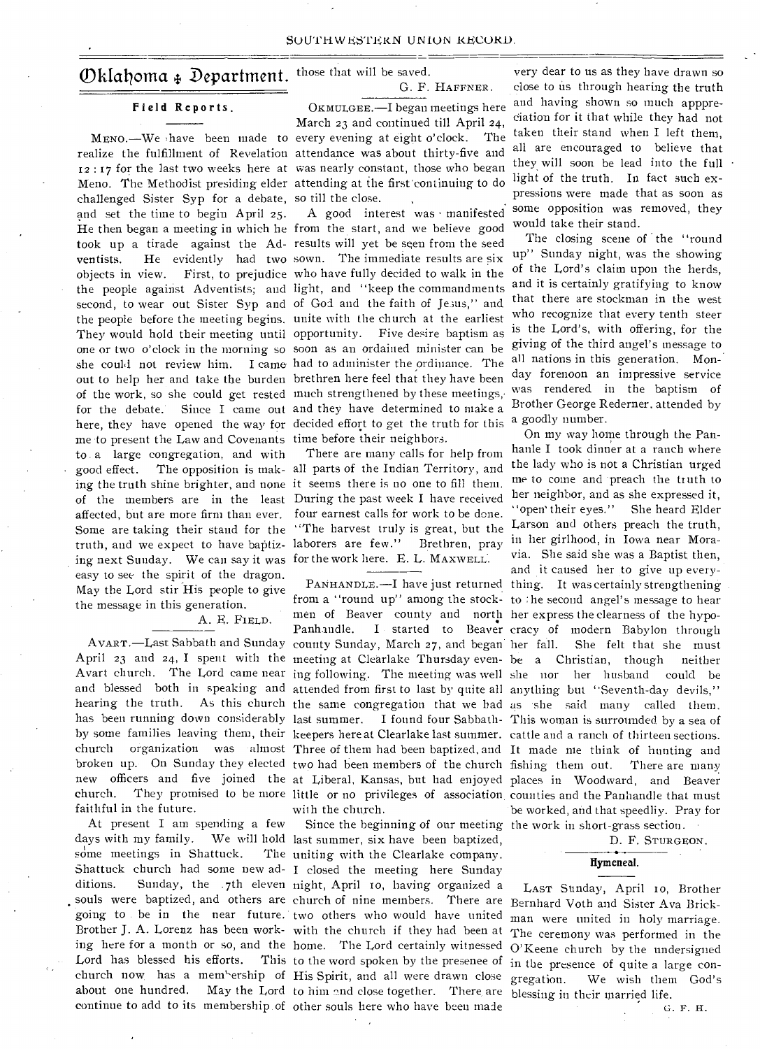# Oklahoma + Department. those that will be saved.

# **Field Reports.**

challenged Sister Syp for a debate, so till the close. and set the time to begin April 25. He then began a meeting in which he from the start, and we believe good took up a tirade against the Ad-results will yet be seen from the seed ventists. He evidently had two sown. The immediate results are six objects in view. First, to prejudice who have fully decided to walk in the the people against Adventists; and light, and "keep the commandments second, to wear out Sister Syp and of God and the faith of Jesus," and the people before the meeting begins. unite with the church at the earliest They would hold their meeting until opportunity. Five desire baptism as one or two o'clock in the morning so soon as an ordained minister can be she could not review him. I came had to administer the ordinance. The out to help her and take the burden brethren here feel that they have been of the work, so she could get rested much strengthened by these meetings,• for the debate. Since I came out and they have determined to make a here, they have opened the way for decided effort to get the truth for this me to present the Law and Covenants time before their neighbors. to a large congregation, and with good effect. The opposition is mak-all parts of the Indian Territory, and ing the truth shine brighter, and none it seems there is no one to fill them. of the members are in the least During the past week I have received affected, but are more firm than ever. Some are taking their stand for the "The harvest truly is great, but the truth, and we expect to have baptiz-laborers are few." Brethren, pray ing next Sunday. We can say it was for the work here. E. L. MAXWELL. easy to see the spirit of the dragon. May the Lord stir His people to give the message in this generation.

# A. E. FIELD.

faithful in the future.

At present I am spending a few some meetings in Shattuck. Lord has blessed his efforts.

G. F. HAFFNER .

MEND.—We have been made to every evening at eight o'clock. The realize the fulfillment of Revelation attendance was about thirty-five and 12 : 17 for the last two weeks here at was nearly constant, those who began Meno. The Methodist presiding elder attending at the first' continuing to do OKMULGEE.—I began meetings here March 23 and continued till April 24,

A good interest was • manifested

There are many calls for help from four earnest calls for work to be done.

AVART.—Last Sabbath and Sunday county Sunday, March 27, and began men of Beaver county and north her express the clearness of the hypowith the church.

days with my family. We will hold last summer, six have been baptized, Shattuck church had some new ad-I closed the meeting here Sunday ditions. Sunday, the .7th eleven night, April ro, having organized a souls were baptized, and others are church of nine members. There are Bernhard Voth and Sister Ava Brickgoing to be in the near future. two others who would have united Brother **J.** A. Lorenz has been work-with the church if they had been at ing here for a month or so, and the home. The Lord certainly witnessed church now has a mem'-ership of His Spirit, and all were drawn close about one hundred. May the Lord to him and close together. There are blessing in their married life. continue to add to its membership of other souls here who have been made Since the beginning of our meeting the work in short-grass section. The uniting with the Clearlake company. This to the word spoken by the presenee of

very dear to us as they have drawn so close to is through hearing the truth and having shown so much apppreciation for it that while they had not taken their stand when I left them, all are encouraged to believe that they will soon be lead into the full light of the truth. In fact such expressions were made that as soon as some opposition was removed, they would take their stand.

The closing scene of the "round up" Sunday night, was the showing of the Lord's claim upon the herds, and it is certainly gratifying to know that there are stockman in the west who recognize that every tenth steer is the Lord's, with offering, for the giving of the third angel's message to all nations in this generation. Monday forenoon an impressive service was rendered in the baptism of Brother George Rederner, attended by a goodly number.

April 23 and 24, I spent with the meeting at Clearlake Thursday even-be a Christian, though neither Avart church. The Lord came near ing following. The meeting was well she nor her husband could be and blessed both in speaking and attended from first to last by quite all anything but "Seventh-day devils," hearing the truth. As this church the same congregation that we had as she said many called them. has been running down considerably last summer. I found four Sabbath-This woman is surrounded by a sea of by some families leaving them, their keepers here at Clearlake last summer. cattle and a ranch of thirteen sections. church organization was almost Three of them had been baptized, and It made me think of hunting and broken up. On Sunday they elected two had been members of the church fishing them out. There are many new officers and five joined the at Liberal, Kansas, but had enjoyed places in Woodward, and Beaver church. They promised to be more little or no privileges of association counties and the Panhandle that must PANHANDLE. -- I have just returned thing. It was certainly strengthening from a "round up" among the stock-to :he second angel's message to hear Panhandle. I started to Beaver cracy of modern Babylon through On my way home through the Panhanle I took dinner at a ranch where the lady who is not a Christian urged me to come and preach the truth to her neighbor, and as she expressed it, "open' their eyes." She heard Elder Larson and others preach the truth, in her girlhood, in Iowa near Moravia. She said she was a Baptist then, and it caused her to give up every-She felt that she must be worked, and that speedliy. Pray for

D. F. STURGEON.

## **Hymeneal.**

LAST Sunday, April ro, Brother man were united in holy marriage. The ceremony was performed in the O' Keene church by the undersigned in the presence of quite a large con-<br>gregation. We wish them God's We wish them God's

*G.* F. H.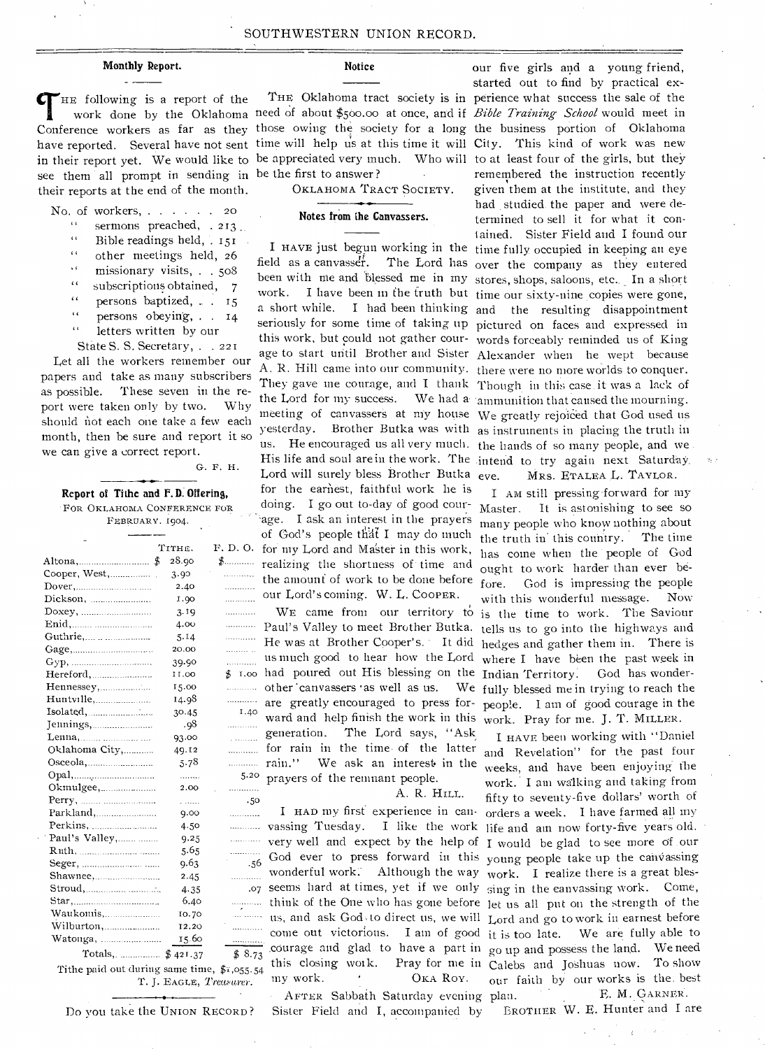# Monthly Report.

 $\mathcal{F}_{\text{HE}}$  following is a report of the Conference workers as far as they those owing the society for a long the business portion of Oklahoma have reported. Several have not sent time will help us at this time it will City. This kind of work was new in their report yet. We would like to be appreciated very much. Who will to at least four of the girls, but they see them all prompt in sending in be the first to answer ? their reports at the end of the month.

No. of workers, . . . . . 20 sermons preached, . 213. IC

- $\epsilon$   $\epsilon$ Bible readings held,  $151$
- other meetings held, 26 it
- $\sim$  6 missionary visits, . . 508
- subscriptions obtained, 7  $\epsilon$
- persons baptized, .. . 15 tt
- persons obeying,. . 14. ti
- " letters written by our

State S. S. Secretary, . . 221

Let all the workers remember our papers and take as many subscribers as possible. These seven in the report were taken only by two. Why should not each one take a few each month, then be sure and report it so we can give a correct report.

G. F. H.

Report of Tithe and F.D. Offering, FOR OKLAHOMA CONFERENCE FOR FEBRUARY. 1904.

|                | TITHE.      | F. D. O.         |
|----------------|-------------|------------------|
| Altona,        | 28.90<br>\$ | $\clubsuit$<br>Ť |
| Cooper, West,  | 3.90        | .                |
|                | 2.40        |                  |
|                | 1.90        | .                |
|                | 3.19        | .                |
|                | 4.00        | .                |
| Guthrie,       | 5.14        | .                |
| Gage, $\ldots$ | 20.00       | .                |
|                | 39.90       | .                |
| Hereford,      | 11.00       | \$1.00           |
| Hennessey,     | 15.00       | .                |
| Huntville,     | 14.98       | .                |
| Isolated,      | 30.45       | 1.40             |
| Jennings,      | .98         | .                |
| Lenna,         | 93.00       | .                |
| Oklahoma City, | 49.12       | .                |
|                | 5.78        | .                |
|                | .           | 5.20             |
| Okmulgee,      | 2.00        | .                |
|                | .           | .50              |
|                | 9.00        | .                |
| Perkins,       | 4.50        | .                |
| Paul's Valley, | 9.25        | .                |
|                | 5.65        | .                |
|                | 9.63        | .56              |
|                | 2.45        | .                |
|                | 4.35        | .07              |
|                | 6.40        | .                |
| Waukomis,      | 10.70       | .                |
| Wilburton,     | 12.20       | .                |
| Watonga,       | 15.60       |                  |
|                |             | \$8.73           |

Tithe paid out during same time, \$1,055.54

# Notice

OKLAHOMA TRACT SOCIETY.

### Notes from the Canvassers.

field as a canvasser. The Lord has over the company as they entered been with me and blessed me in my stores, shops, saloons, etc... In a short work. I have been in the truth but time our sixty-nine copies were gone, a short while. I had been thinking and the resulting disappointment seriously for some time of taking up pictured on faces and expressed in this work, but could not gather cour- words forceably reminded us of King age to start until Brother and Sister Alexander when he wept because A. R. Hill came into our community. there were no more worlds to conquer. They gave me courage, and I thank Though in this case it was a lack of yesterday. Brother Butka was with as instruments in placing the truth in F. D. O. for my Lord and Master in this work, the Lord for my success. Lord will surely bless Brother Butka eve. for the earnest, faithful work he is doing. I go out to-day of good courage. I ask an interest in the prayers of God's people that I may do much realizing the shortness of.time and the amount of work to be done before our Lord's coming. W. L. COOPER.

WE came from our territory to Paul's Valley to meet Brother Butka. He was at Brother Cooper's. It did us much good to hear how the Lord oo had poured out His blessing on the other 'canvassers 'as well as us. are greatly encouraged to press for generation. The Lord says, "Ask ..... for rain in the time of the latter  $r_{\text{min}}$  rain." We ask an interest in the  $r_{\text{max}}$  require of the requirement people prayers of the remnant people. <sup>40</sup> ward and help finish the work in this

# A. R. HILL.

vassing Tuesday. I like the work life and am now forty-five years old. T. J. EAGLE, *Treasurer.* my work. OKA ROY. AFTER Sabbath Saturday evening very well and expect by the help of I would be glad to see more of our .56 God ever to press forward in this young people take up the canVassing wonderful work. Although the way work. I realize there is a great bles-.07 seems hard at times, yet if we only sing in the canvassing work. Come, think of the One who has gone before let us all put on the strength of the us, and ask Godsto direct us, we will Lord and go to work in earnest before come out victorious. I am of good courage and glad to have a part in go up and possess the land. We need this closing

Sister Field and I, accompanied by Do you take the UNION RECORD? Sister Field and I, accompanied by BROTHER W. E. Hunter and I are

work done by the Oklahoma need of about \$500.00 at once, and if Bible Training School would meet in our five girls and a young friend, started out to find by practical ex-THE Oklahoma tract society is in perience what success the sale of the remembered the instruction recently given them at the institute, and they had studied. the paper and were determined to sell it for what it contained. Sister Field and I found our I HAVE just begun working in the time fully occupied in keeping an eye We had a ammunition that caused the mourning. meeting of canvassers at my house We greatly rejoiced that God used us us. He encouraged us all very much. the hands of so many people, and we . His life and soul are in the work. The intend to try again next Saturday. MRS. ETALEA L. TAYLOR.

> I AM still pressing- forward for my Master. It is astonishing to see so many people who know nothing about<br>the truth in this country. The time the truth in' this country. has come when the people of God ought to work harder than ever before. God is impressing the people with this wonderful message. Now is the time to work. The Saviour tells us to go into the highways and hedges and gather them in. There is where I have been the past week in Indian Territory. God has wonder-We fully blessed me in trying to reach the people. I am of good courage in the work. Pray for me. J. T. MILLER.

I HAVE been working with "Daniel and Revelation" for the past four weeks, and have been enjoying the work. I am walking and taking from fifty to seventy-five dollars' worth of I HAD my first experience in can-orders a week. I have farmed all my work. Pray for me in Calebs and Joshuas now. To show We are fully able to<br>ess the land. We need our faith by our works is the. best F. M. GARNER.